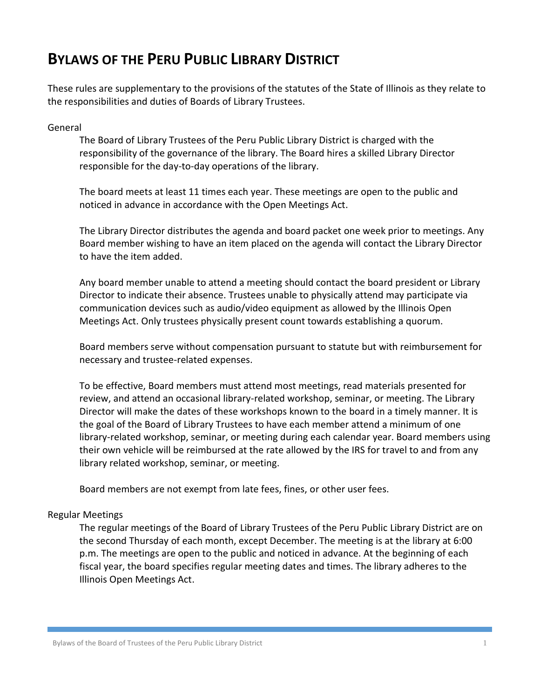# **BYLAWS OF THE PERU PUBLIC LIBRARY DISTRICT**

These rules are supplementary to the provisions of the statutes of the State of Illinois as they relate to the responsibilities and duties of Boards of Library Trustees.

## General

The Board of Library Trustees of the Peru Public Library District is charged with the responsibility of the governance of the library. The Board hires a skilled Library Director responsible for the day-to-day operations of the library.

The board meets at least 11 times each year. These meetings are open to the public and noticed in advance in accordance with the Open Meetings Act.

The Library Director distributes the agenda and board packet one week prior to meetings. Any Board member wishing to have an item placed on the agenda will contact the Library Director to have the item added.

Any board member unable to attend a meeting should contact the board president or Library Director to indicate their absence. Trustees unable to physically attend may participate via communication devices such as audio/video equipment as allowed by the Illinois Open Meetings Act. Only trustees physically present count towards establishing a quorum.

Board members serve without compensation pursuant to statute but with reimbursement for necessary and trustee-related expenses.

To be effective, Board members must attend most meetings, read materials presented for review, and attend an occasional library-related workshop, seminar, or meeting. The Library Director will make the dates of these workshops known to the board in a timely manner. It is the goal of the Board of Library Trustees to have each member attend a minimum of one library-related workshop, seminar, or meeting during each calendar year. Board members using their own vehicle will be reimbursed at the rate allowed by the IRS for travel to and from any library related workshop, seminar, or meeting.

Board members are not exempt from late fees, fines, or other user fees.

## Regular Meetings

The regular meetings of the Board of Library Trustees of the Peru Public Library District are on the second Thursday of each month, except December. The meeting is at the library at 6:00 p.m. The meetings are open to the public and noticed in advance. At the beginning of each fiscal year, the board specifies regular meeting dates and times. The library adheres to the Illinois Open Meetings Act.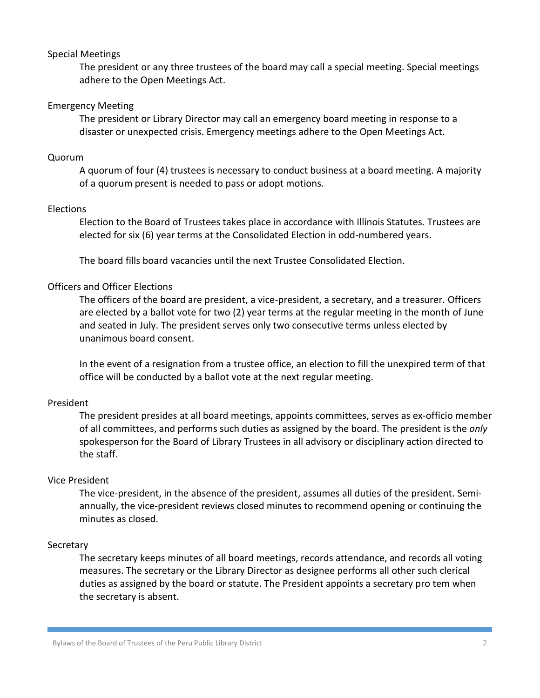#### Special Meetings

The president or any three trustees of the board may call a special meeting. Special meetings adhere to the Open Meetings Act.

## Emergency Meeting

The president or Library Director may call an emergency board meeting in response to a disaster or unexpected crisis. Emergency meetings adhere to the Open Meetings Act.

### Quorum

A quorum of four (4) trustees is necessary to conduct business at a board meeting. A majority of a quorum present is needed to pass or adopt motions.

#### Elections

Election to the Board of Trustees takes place in accordance with Illinois Statutes. Trustees are elected for six (6) year terms at the Consolidated Election in odd-numbered years.

The board fills board vacancies until the next Trustee Consolidated Election.

## Officers and Officer Elections

The officers of the board are president, a vice-president, a secretary, and a treasurer. Officers are elected by a ballot vote for two (2) year terms at the regular meeting in the month of June and seated in July. The president serves only two consecutive terms unless elected by unanimous board consent.

In the event of a resignation from a trustee office, an election to fill the unexpired term of that office will be conducted by a ballot vote at the next regular meeting.

## President

The president presides at all board meetings, appoints committees, serves as ex-officio member of all committees, and performs such duties as assigned by the board. The president is the *only* spokesperson for the Board of Library Trustees in all advisory or disciplinary action directed to the staff.

## Vice President

The vice-president, in the absence of the president, assumes all duties of the president. Semiannually, the vice-president reviews closed minutes to recommend opening or continuing the minutes as closed.

#### **Secretary**

The secretary keeps minutes of all board meetings, records attendance, and records all voting measures. The secretary or the Library Director as designee performs all other such clerical duties as assigned by the board or statute. The President appoints a secretary pro tem when the secretary is absent.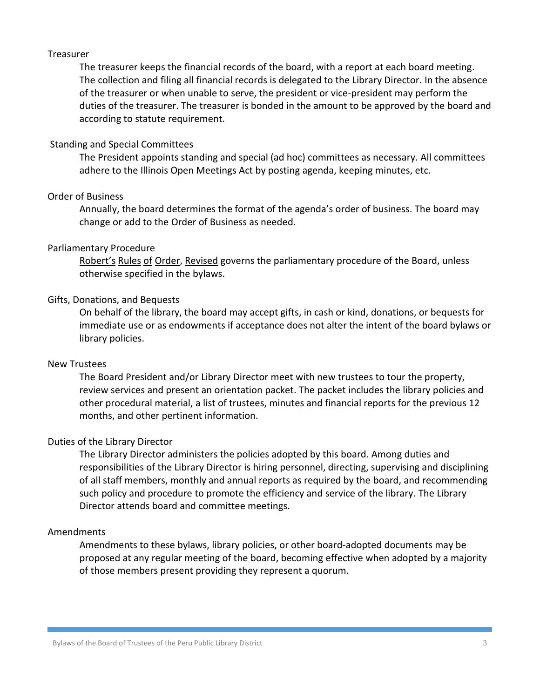#### Treasurer

The treasurer keeps the financial records of the board, with a report at each board meeting. The collection and filing all financial records is delegated to the Library Director. In the absence of the treasurer or when unable to serve, the president or vice-president may perform the duties of the treasurer. The treasurer is bonded in the amount to be approved by the board and according to statute requirement.

## Standing and Special Committees

The President appoints standing and special (ad hoc) committees as necessary. All committees adhere to the Illinois Open Meetings Act by posting agenda, keeping minutes, etc.

## Order of Business

Annually, the board determines the format of the agenda's order of business. The board may change or add to the Order of Business as needed.

#### Parliamentary Procedure

Robert's Rules of Order, Revised governs the parliamentary procedure of the Board, unless otherwise specified in the bylaws.

## Gifts, Donations, and Bequests

On behalf of the library, the board may accept gifts, in cash or kind, donations, or bequests for immediate use or as endowments if acceptance does not alter the intent of the board bylaws or library policies.

#### New Trustees

The Board President and/or Library Director meet with new trustees to tour the property, review services and present an orientation packet. The packet includes the library policies and other procedural material, a list of trustees, minutes and financial reports for the previous 12 months, and other pertinent information.

## Duties of the Library Director

The Library Director administers the policies adopted by this board. Among duties and responsibilities of the Library Director is hiring personnel, directing, supervising and disciplining of all staff members, monthly and annual reports as required by the board, and recommending such policy and procedure to promote the efficiency and service of the library. The Library Director attends board and committee meetings.

## Amendments

Amendments to these bylaws, library policies, or other board-adopted documents may be proposed at any regular meeting of the board, becoming effective when adopted by a majority of those members present providing they represent a quorum.